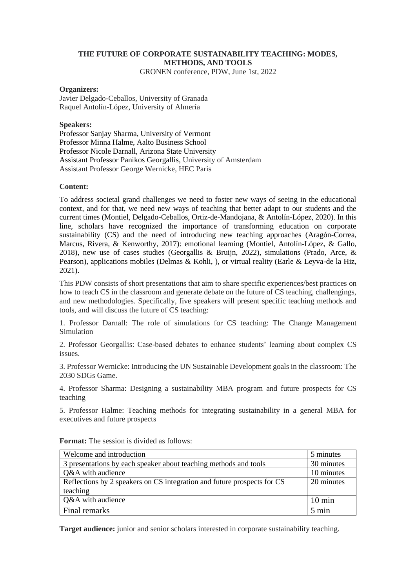# **THE FUTURE OF CORPORATE SUSTAINABILITY TEACHING: MODES, METHODS, AND TOOLS**

GRONEN conference, PDW, June 1st, 2022

## **Organizers:**

Javier Delgado-Ceballos, University of Granada Raquel Antolín-López, University of Almería

### **Speakers:**

Professor Sanjay Sharma, University of Vermont Professor Minna Halme, Aalto Business School Professor Nicole Darnall, Arizona State University Assistant Professor Panikos Georgallis, University of Amsterdam Assistant Professor George Wernicke, HEC Paris

### **Content:**

To address societal grand challenges we need to foster new ways of seeing in the educational context, and for that, we need new ways of teaching that better adapt to our students and the current times (Montiel, Delgado-Ceballos, Ortiz-de-Mandojana, & Antolín-López, 2020). In this line, scholars have recognized the importance of transforming education on corporate sustainability (CS) and the need of introducing new teaching approaches (Aragón-Correa, Marcus, Rivera, & Kenworthy, 2017): emotional learning (Montiel, Antolín-López, & Gallo, 2018), new use of cases studies (Georgallis & Bruijn, 2022), simulations (Prado, Arce, & Pearson), applications mobiles (Delmas & Kohli, ), or virtual reality (Earle & Leyva-de la Hiz, 2021).

This PDW consists of short presentations that aim to share specific experiences/best practices on how to teach CS in the classroom and generate debate on the future of CS teaching, challengings, and new methodologies. Specifically, five speakers will present specific teaching methods and tools, and will discuss the future of CS teaching:

1. Professor Darnall: The role of simulations for CS teaching: The Change Management Simulation

2. Professor Georgallis: Case-based debates to enhance students' learning about complex CS issues.

3. Professor Wernicke: Introducing the UN Sustainable Development goals in the classroom: The 2030 SDGs Game.

4. Professor Sharma: Designing a sustainability MBA program and future prospects for CS teaching

5. Professor Halme: Teaching methods for integrating sustainability in a general MBA for executives and future prospects

| Welcome and introduction                                                | 5 minutes        |
|-------------------------------------------------------------------------|------------------|
| 3 presentations by each speaker about teaching methods and tools        | 30 minutes       |
| Q&A with audience                                                       | 10 minutes       |
| Reflections by 2 speakers on CS integration and future prospects for CS | 20 minutes       |
| teaching                                                                |                  |
| Q&A with audience                                                       | $10 \text{ min}$ |
| Final remarks                                                           | $5 \text{ min}$  |

**Format:** The session is divided as follows:

**Target audience:** junior and senior scholars interested in corporate sustainability teaching.